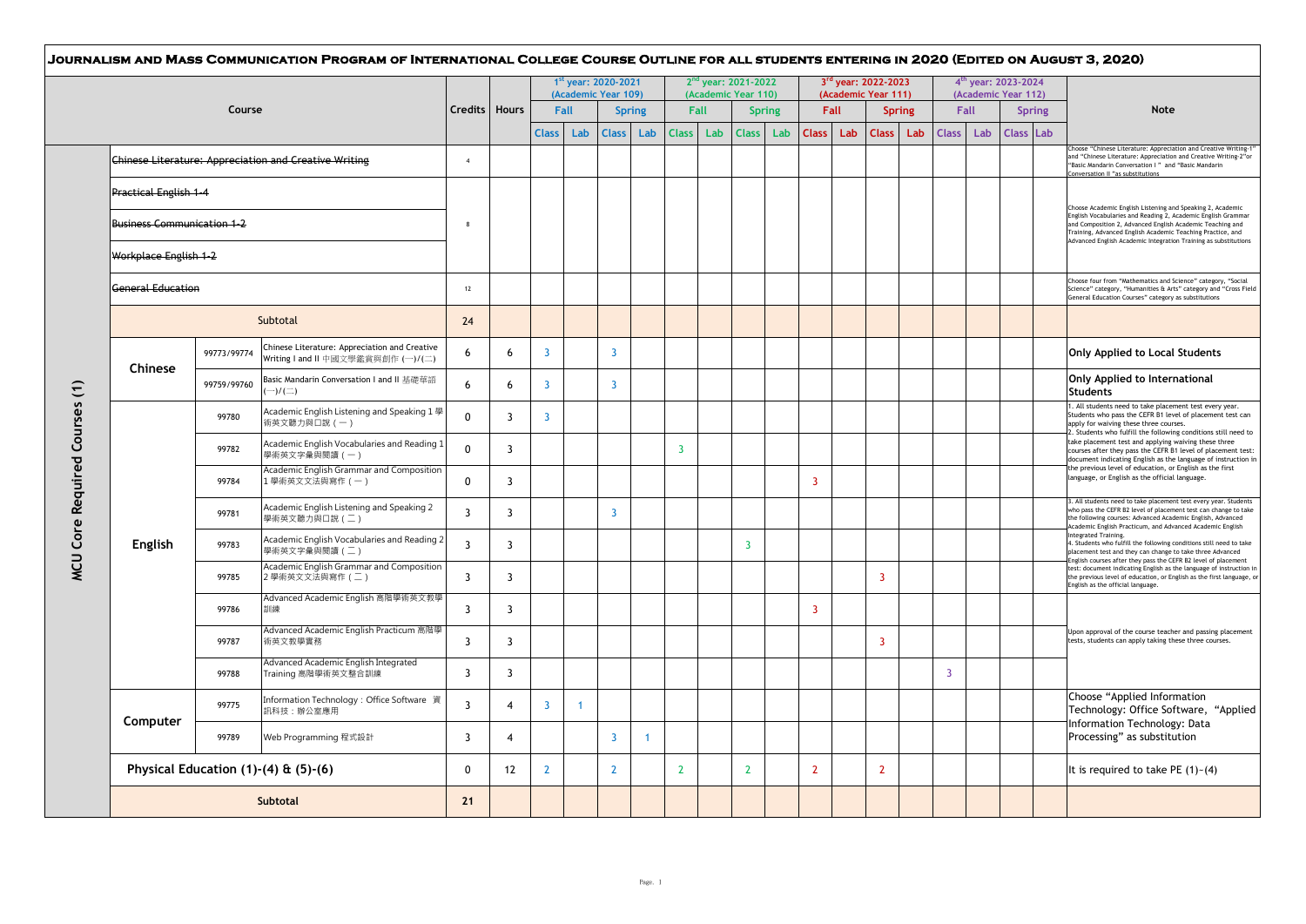|                                   |                                           |                                                                                     |                         |                |                | 1st year: 2020-2021<br>(Academic Year 109) |                         |                      |                |             | $2nd$ year: 2021-2022<br>(Academic Year 110) |     |                |                    | 3rd year: 2022-2023<br>(Academic Year 111) |                      |                | $4th$ year: 2023-2024<br>(Academic Year 112) |                  |               |                                                                                                                                                                                                                                                                                                                                                                                                                                                                                                                                                                                                                                                                                                                                                                                                                                                                                                                                                                                                                                        |
|-----------------------------------|-------------------------------------------|-------------------------------------------------------------------------------------|-------------------------|----------------|----------------|--------------------------------------------|-------------------------|----------------------|----------------|-------------|----------------------------------------------|-----|----------------|--------------------|--------------------------------------------|----------------------|----------------|----------------------------------------------|------------------|---------------|----------------------------------------------------------------------------------------------------------------------------------------------------------------------------------------------------------------------------------------------------------------------------------------------------------------------------------------------------------------------------------------------------------------------------------------------------------------------------------------------------------------------------------------------------------------------------------------------------------------------------------------------------------------------------------------------------------------------------------------------------------------------------------------------------------------------------------------------------------------------------------------------------------------------------------------------------------------------------------------------------------------------------------------|
|                                   | Course                                    |                                                                                     | Credits   Hours         |                | <b>Class</b>   | Fall<br>Lab                                | <b>Class</b>            | <b>Spring</b><br>Lab | <b>Class</b>   | Fall<br>Lab | <b>Spring</b><br><b>Class</b>                | Lab | <b>Class</b>   | <b>Fall</b><br>Lab | <b>Class</b>                               | <b>Spring</b><br>Lab | <b>Class</b>   | Fall<br>Lab                                  | <b>Class</b> Lab | <b>Spring</b> | <b>Note</b>                                                                                                                                                                                                                                                                                                                                                                                                                                                                                                                                                                                                                                                                                                                                                                                                                                                                                                                                                                                                                            |
|                                   |                                           | <b>Chinese Literature: Appreciation and Creative Writing</b>                        | $\overline{4}$          |                |                |                                            |                         |                      |                |             |                                              |     |                |                    |                                            |                      |                |                                              |                  |               | Choose "Chinese Literature: Appreciation and Creative Writing-1"<br>and "Chinese Literature: Appreciation and Creative Writing-2"or<br>"Basic Mandarin Conversation I" and "Basic Mandarin                                                                                                                                                                                                                                                                                                                                                                                                                                                                                                                                                                                                                                                                                                                                                                                                                                             |
| <b>Practical English 1-4</b>      |                                           |                                                                                     |                         |                |                |                                            |                         |                      |                |             |                                              |     |                |                    |                                            |                      |                |                                              |                  |               | Conversation II "as substitutions                                                                                                                                                                                                                                                                                                                                                                                                                                                                                                                                                                                                                                                                                                                                                                                                                                                                                                                                                                                                      |
| <b>Business Communication 1-2</b> |                                           |                                                                                     | 8                       |                |                |                                            |                         |                      |                |             |                                              |     |                |                    |                                            |                      |                |                                              |                  |               | Choose Academic English Listening and Speaking 2, Academic<br>English Vocabularies and Reading 2, Academic English Grammar<br>and Composition 2, Advanced English Academic Teaching and<br>Training, Advanced English Academic Teaching Practice, and                                                                                                                                                                                                                                                                                                                                                                                                                                                                                                                                                                                                                                                                                                                                                                                  |
| Workplace English 1-2             |                                           |                                                                                     |                         |                |                |                                            |                         |                      |                |             |                                              |     |                |                    |                                            |                      |                |                                              |                  |               | Advanced English Academic Integration Training as substitutions                                                                                                                                                                                                                                                                                                                                                                                                                                                                                                                                                                                                                                                                                                                                                                                                                                                                                                                                                                        |
| <b>General Education</b>          |                                           |                                                                                     | 12                      |                |                |                                            |                         |                      |                |             |                                              |     |                |                    |                                            |                      |                |                                              |                  |               | Choose four from "Mathematics and Science" category, "Social<br>Science" category, "Humanities & Arts" category and "Cross Field<br>General Education Courses" category as substitutions                                                                                                                                                                                                                                                                                                                                                                                                                                                                                                                                                                                                                                                                                                                                                                                                                                               |
|                                   | Subtotal                                  |                                                                                     |                         |                |                |                                            |                         |                      |                |             |                                              |     |                |                    |                                            |                      |                |                                              |                  |               |                                                                                                                                                                                                                                                                                                                                                                                                                                                                                                                                                                                                                                                                                                                                                                                                                                                                                                                                                                                                                                        |
| Chinese                           | 99773/99774                               | Chinese Literature: Appreciation and Creative<br>Writing I and II 中國文學鑑賞與創作 (一)/(二) | 6                       | 6              | 3              |                                            | $\overline{3}$          |                      |                |             |                                              |     |                |                    |                                            |                      |                |                                              |                  |               | Only Applied to Local Students                                                                                                                                                                                                                                                                                                                                                                                                                                                                                                                                                                                                                                                                                                                                                                                                                                                                                                                                                                                                         |
|                                   | 99759/99760                               | Basic Mandarin Conversation I and II 基礎華語<br>$-)/(\equiv)$                          | 6                       | 6              | 3              |                                            | $\overline{\mathbf{3}}$ |                      |                |             |                                              |     |                |                    |                                            |                      |                |                                              |                  |               | Only Applied to International<br><b>Students</b>                                                                                                                                                                                                                                                                                                                                                                                                                                                                                                                                                                                                                                                                                                                                                                                                                                                                                                                                                                                       |
|                                   | 99780                                     | Academic English Listening and Speaking 1 學<br>術英文聽力與口說 (一)                         | $\mathbf 0$             | 3              | 3              |                                            |                         |                      |                |             |                                              |     |                |                    |                                            |                      |                |                                              |                  |               | . All students need to take placement test every year.<br>Students who pass the CEFR B1 level of placement test can<br>apply for waiving these three courses.<br>2. Students who fulfill the following conditions still need to<br>take placement test and applying waiving these three<br>courses after they pass the CEFR B1 level of placement test:<br>document indicating English as the language of instruction in<br>the previous level of education, or English as the first<br>language, or English as the official language.<br>3. All students need to take placement test every year. Students<br>who pass the CEFR B2 level of placement test can change to take<br>the following courses: Advanced Academic English, Advanced<br>Academic English Practicum, and Advanced Academic English<br>Integrated Training.<br>4. Students who fulfill the following conditions still need to take<br>placement test and they can change to take three Advanced<br>Inglish courses after they pass the CEFR B2 level of placement |
|                                   | 99782                                     | Academic English Vocabularies and Reading 1<br>學術英文字彙與閱讀 (一)                        | $\Omega$                | 3              |                |                                            |                         |                      | 3              |             |                                              |     |                |                    |                                            |                      |                |                                              |                  |               |                                                                                                                                                                                                                                                                                                                                                                                                                                                                                                                                                                                                                                                                                                                                                                                                                                                                                                                                                                                                                                        |
|                                   | 99784                                     | Academic English Grammar and Composition<br>1學術英文文法與寫作 (一)                          | $\mathbf{0}$            | 3              |                |                                            |                         |                      |                |             |                                              |     | $\overline{3}$ |                    |                                            |                      |                |                                              |                  |               |                                                                                                                                                                                                                                                                                                                                                                                                                                                                                                                                                                                                                                                                                                                                                                                                                                                                                                                                                                                                                                        |
|                                   | 99781                                     | Academic English Listening and Speaking 2<br>學術英文聽力與口說 (二)                          | $\overline{3}$          | 3              |                |                                            | $\overline{3}$          |                      |                |             |                                              |     |                |                    |                                            |                      |                |                                              |                  |               |                                                                                                                                                                                                                                                                                                                                                                                                                                                                                                                                                                                                                                                                                                                                                                                                                                                                                                                                                                                                                                        |
| English                           | 99783                                     | Academic English Vocabularies and Reading 2<br>學術英文字彙與閱讀 (二)                        | $\overline{3}$          | 3              |                |                                            |                         |                      |                |             | $\overline{3}$                               |     |                |                    |                                            |                      |                |                                              |                  |               |                                                                                                                                                                                                                                                                                                                                                                                                                                                                                                                                                                                                                                                                                                                                                                                                                                                                                                                                                                                                                                        |
|                                   | 99785                                     | Academic English Grammar and Composition<br>2學術英文文法與寫作 (二)                          | $\overline{3}$          | 3              |                |                                            |                         |                      |                |             |                                              |     |                |                    | $\overline{3}$                             |                      |                |                                              |                  |               | test: document indicating English as the language of instruction in<br>the previous level of education, or English as the first language, or<br>English as the official language.                                                                                                                                                                                                                                                                                                                                                                                                                                                                                                                                                                                                                                                                                                                                                                                                                                                      |
|                                   | 99786                                     | Advanced Academic English 高階學術英文教學<br>訓練                                            | 3                       | 3              |                |                                            |                         |                      |                |             |                                              |     | $\overline{3}$ |                    |                                            |                      |                |                                              |                  |               |                                                                                                                                                                                                                                                                                                                                                                                                                                                                                                                                                                                                                                                                                                                                                                                                                                                                                                                                                                                                                                        |
|                                   | 99787                                     | Advanced Academic English Practicum 高階學<br>術英文教學實務                                  | $\overline{\mathbf{3}}$ | $\overline{3}$ |                |                                            |                         |                      |                |             |                                              |     |                |                    | $\overline{3}$                             |                      |                |                                              |                  |               | Upon approval of the course teacher and passing placement<br>tests, students can apply taking these three courses.                                                                                                                                                                                                                                                                                                                                                                                                                                                                                                                                                                                                                                                                                                                                                                                                                                                                                                                     |
|                                   | 99788                                     | Advanced Academic English Integrated<br>Training 高階學術英文整合訓練                         | $\overline{3}$          | 3              |                |                                            |                         |                      |                |             |                                              |     |                |                    |                                            |                      | $\overline{3}$ |                                              |                  |               |                                                                                                                                                                                                                                                                                                                                                                                                                                                                                                                                                                                                                                                                                                                                                                                                                                                                                                                                                                                                                                        |
|                                   | 99775                                     | Information Technology: Office Software 資<br>訊科技:辦公室應用                              | $\overline{3}$          | $\overline{4}$ | 3              | $\mathbf{1}$                               |                         |                      |                |             |                                              |     |                |                    |                                            |                      |                |                                              |                  |               | Choose "Applied Information<br>Technology: Office Software, "Applied                                                                                                                                                                                                                                                                                                                                                                                                                                                                                                                                                                                                                                                                                                                                                                                                                                                                                                                                                                   |
|                                   | Computer<br>99789<br>Web Programming 程式設計 |                                                                                     | 3                       | 4              |                |                                            | $\overline{3}$          | $\mathbf{1}$         |                |             |                                              |     |                |                    |                                            |                      |                |                                              |                  |               | Information Technology: Data<br>Processing" as substitution                                                                                                                                                                                                                                                                                                                                                                                                                                                                                                                                                                                                                                                                                                                                                                                                                                                                                                                                                                            |
|                                   | Physical Education (1)-(4) & (5)-(6)      |                                                                                     | $\Omega$                | 12             | $\overline{2}$ |                                            | $\mathbf{2}$            |                      | $\overline{2}$ |             | $\mathbf{2}$                                 |     | $\overline{2}$ |                    | $\overline{2}$                             |                      |                |                                              |                  |               | It is required to take PE (1)~(4)                                                                                                                                                                                                                                                                                                                                                                                                                                                                                                                                                                                                                                                                                                                                                                                                                                                                                                                                                                                                      |
| Subtotal                          |                                           |                                                                                     |                         |                |                |                                            |                         |                      |                |             |                                              |     |                |                    |                                            |                      |                |                                              |                  |               |                                                                                                                                                                                                                                                                                                                                                                                                                                                                                                                                                                                                                                                                                                                                                                                                                                                                                                                                                                                                                                        |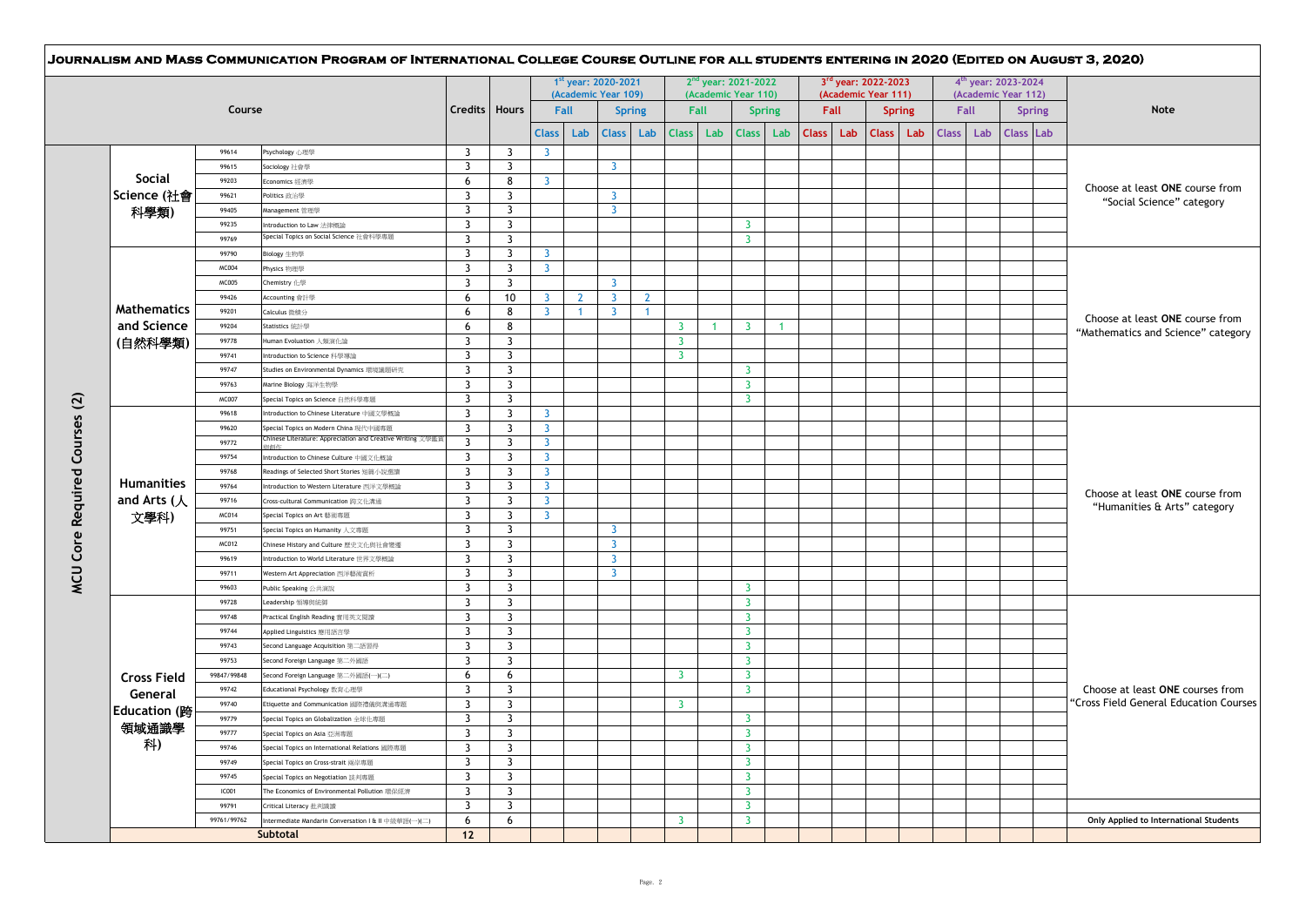|                       |              |                                                            |                 |                |                         |              | 1st year: 2020-2021<br>(Academic Year 109) |                |                         |              | 2 <sup>nd</sup> year: 2021-2022<br>(Academic Year 110) |                      |              |      | 3rd year: 2022-2023<br>(Academic Year 111) |               |              |      | $4th$ year: 2023-2024<br>(Academic Year 112) |                                        |
|-----------------------|--------------|------------------------------------------------------------|-----------------|----------------|-------------------------|--------------|--------------------------------------------|----------------|-------------------------|--------------|--------------------------------------------------------|----------------------|--------------|------|--------------------------------------------|---------------|--------------|------|----------------------------------------------|----------------------------------------|
|                       | Course       |                                                            | Credits   Hours |                |                         | Fall         |                                            | <b>Spring</b>  | <b>Fall</b>             |              |                                                        | <b>Spring</b>        |              | Fall |                                            | <b>Spring</b> |              | Fall | <b>Spring</b>                                | <b>Note</b>                            |
|                       |              |                                                            |                 |                | <b>Class</b>            | Lab          | <b>Class</b>                               | Lab            | <b>Class</b>            | Lab          | <b>Class</b>                                           | Lab                  | <b>Class</b> | Lab  | <b>Class</b>                               | Lab           | <b>Class</b> | Lab  | Class Lab                                    |                                        |
|                       | 99614        | Psychology 心理學                                             | $\overline{3}$  | $\overline{3}$ | $\overline{3}$          |              |                                            |                |                         |              |                                                        |                      |              |      |                                            |               |              |      |                                              |                                        |
|                       | 99615        | Sociology 社會學                                              | $\overline{3}$  | $\overline{3}$ |                         |              | $\overline{3}$                             |                |                         |              |                                                        |                      |              |      |                                            |               |              |      |                                              |                                        |
| <b>Social</b>         | 99203        | Economics 經濟學                                              | 6               | 8              | $\overline{3}$          |              |                                            |                |                         |              |                                                        |                      |              |      |                                            |               |              |      |                                              | Choose at least ONE course from        |
| Science (社會           | 99621        | Politics 政治學                                               | 3               | $\overline{3}$ |                         |              | $\mathbf{3}$                               |                |                         |              |                                                        |                      |              |      |                                            |               |              |      |                                              | "Social Science" category              |
| 科學類)                  | 99405        | Management管理學                                              | 3               | $\overline{3}$ |                         |              | $\overline{3}$                             |                |                         |              |                                                        |                      |              |      |                                            |               |              |      |                                              |                                        |
|                       | 99235        | Introduction to Law 法律概論                                   | 3               | $\overline{3}$ |                         |              |                                            |                |                         |              | $\overline{3}$                                         |                      |              |      |                                            |               |              |      |                                              |                                        |
|                       | 99769        | Special Topics on Social Science 社會科學專題                    | $\overline{3}$  | $\overline{3}$ |                         |              |                                            |                |                         |              | $\overline{3}$                                         |                      |              |      |                                            |               |              |      |                                              |                                        |
|                       | 99790        | Biology 生物學                                                | 3               | $\overline{3}$ | $\overline{3}$          |              |                                            |                |                         |              |                                                        |                      |              |      |                                            |               |              |      |                                              |                                        |
|                       | MC004        | Physics 物理學                                                | $\overline{3}$  | $\overline{3}$ | $\overline{\mathbf{3}}$ |              |                                            |                |                         |              |                                                        |                      |              |      |                                            |               |              |      |                                              |                                        |
|                       | <b>MC005</b> | Chemistry 化學                                               | 3               | $\overline{3}$ |                         |              | $\overline{3}$                             |                |                         |              |                                                        |                      |              |      |                                            |               |              |      |                                              |                                        |
|                       | 99426        | Accounting 會計學                                             | 6               | 10             | 3                       | $\mathbf{2}$ | $\overline{3}$                             | $\overline{2}$ |                         |              |                                                        |                      |              |      |                                            |               |              |      |                                              |                                        |
| <b>Mathematics</b>    | 99201        | Calculus 微積分                                               | 6               | 8              | $\overline{3}$          | $\mathbf{1}$ | $\overline{\mathbf{3}}$                    | $\mathbf{1}$   |                         |              |                                                        |                      |              |      |                                            |               |              |      |                                              | Choose at least ONE course from        |
| and Science           | 99204        | Statistics 統計學                                             | 6               | 8              |                         |              |                                            |                | $\overline{\mathbf{3}}$ | $\mathbf{1}$ | $\overline{3}$                                         | $\blacktriangleleft$ |              |      |                                            |               |              |      |                                              | "Mathematics and Science" category     |
| (自然科學類)               | 99778        | Human Evoluation 人類演化論                                     | 3               | $\overline{3}$ |                         |              |                                            |                | $\overline{3}$          |              |                                                        |                      |              |      |                                            |               |              |      |                                              |                                        |
|                       | 99741        | Introduction to Science 科學導論                               | 3               | $\overline{3}$ |                         |              |                                            |                | $\overline{\mathbf{3}}$ |              |                                                        |                      |              |      |                                            |               |              |      |                                              |                                        |
|                       | 99747        | Studies on Environmental Dynamics 環境議題研究                   | 3               | $\overline{3}$ |                         |              |                                            |                |                         |              | $\overline{3}$                                         |                      |              |      |                                            |               |              |      |                                              |                                        |
|                       | 99763        | Marine Biology 海洋生物學                                       | 3               | $\overline{3}$ |                         |              |                                            |                |                         |              | $\overline{3}$                                         |                      |              |      |                                            |               |              |      |                                              |                                        |
|                       | MC007        | Special Topics on Science 自然科學專題                           | $\overline{3}$  | $\overline{3}$ |                         |              |                                            |                |                         |              | 3                                                      |                      |              |      |                                            |               |              |      |                                              |                                        |
|                       | 99618        | Introduction to Chinese Literature 中國文學概論                  | 3               | $\overline{3}$ | $\overline{3}$          |              |                                            |                |                         |              |                                                        |                      |              |      |                                            |               |              |      |                                              |                                        |
|                       | 99620        | Special Topics on Modern China 現代中國專題                      | $\overline{3}$  | $\overline{3}$ | $\overline{3}$          |              |                                            |                |                         |              |                                                        |                      |              |      |                                            |               |              |      |                                              |                                        |
|                       | 99772        | Chinese Literature: Appreciation and Creative Writing 文學鑑賞 | 3               | $\overline{3}$ | $\overline{3}$          |              |                                            |                |                         |              |                                                        |                      |              |      |                                            |               |              |      |                                              |                                        |
|                       | 99754        | Introduction to Chinese Culture 中國文化概論                     | 3               | $\overline{3}$ | $\overline{3}$          |              |                                            |                |                         |              |                                                        |                      |              |      |                                            |               |              |      |                                              |                                        |
|                       | 99768        | Readings of Selected Short Stories 短篇小說選讀                  | 3               | $\overline{3}$ | $\overline{3}$          |              |                                            |                |                         |              |                                                        |                      |              |      |                                            |               |              |      |                                              |                                        |
| <b>Humanities</b>     | 99764        | Introduction to Western Literature 西洋文學概論                  | $\overline{3}$  | $\overline{3}$ | $\overline{3}$          |              |                                            |                |                         |              |                                                        |                      |              |      |                                            |               |              |      |                                              |                                        |
| and Arts (人           | 99716        | Cross-cultural Communication 跨文化溝通                         | 3               | $\overline{3}$ | $\overline{\mathbf{3}}$ |              |                                            |                |                         |              |                                                        |                      |              |      |                                            |               |              |      |                                              | Choose at least ONE course from        |
| 文學科)                  | MC014        | Special Topics on Art 藝術專題                                 | $\overline{3}$  | $\overline{3}$ | $\overline{3}$          |              |                                            |                |                         |              |                                                        |                      |              |      |                                            |               |              |      |                                              | "Humanities & Arts" category           |
|                       | 99751        | Special Topics on Humanity 人文專題                            | $\overline{3}$  | $\overline{3}$ |                         |              | $\overline{3}$                             |                |                         |              |                                                        |                      |              |      |                                            |               |              |      |                                              |                                        |
|                       | MC012        | Chinese History and Culture 歷史文化與社會變遷                      | $\overline{3}$  | $\overline{3}$ |                         |              | $\overline{3}$                             |                |                         |              |                                                        |                      |              |      |                                            |               |              |      |                                              |                                        |
|                       | 99619        | Introduction to World Literature 世界文學概論                    | 3               | $\overline{3}$ |                         |              | $\overline{3}$                             |                |                         |              |                                                        |                      |              |      |                                            |               |              |      |                                              |                                        |
|                       | 99711        | Western Art Appreciation 西洋藝術賞析                            | 3               | $\overline{3}$ |                         |              | $\overline{3}$                             |                |                         |              |                                                        |                      |              |      |                                            |               |              |      |                                              |                                        |
|                       | 99603        | Public Speaking 公共演說                                       | 3               | 3              |                         |              |                                            |                |                         |              | 3                                                      |                      |              |      |                                            |               |              |      |                                              |                                        |
|                       | 99728        | Leadership 領導與統御                                           | 3               | $\overline{3}$ |                         |              |                                            |                |                         |              | $\overline{3}$                                         |                      |              |      |                                            |               |              |      |                                              |                                        |
|                       | 99748        | Practical English Reading 實用英文閱讀                           | 3               | $\overline{3}$ |                         |              |                                            |                |                         |              | $\overline{3}$                                         |                      |              |      |                                            |               |              |      |                                              |                                        |
|                       | 99744        | Applied Linguistics 應用語言學                                  | 3               | $\overline{3}$ |                         |              |                                            |                |                         |              | $\mathbf{3}$                                           |                      |              |      |                                            |               |              |      |                                              |                                        |
|                       | 99743        | Second Language Acquisition 第二語習得                          | 3               | $\overline{3}$ |                         |              |                                            |                |                         |              | $\overline{3}$                                         |                      |              |      |                                            |               |              |      |                                              |                                        |
|                       | 99753        | Second Foreign Language 第二外國語                              | $\overline{3}$  | $\overline{3}$ |                         |              |                                            |                |                         |              | $\overline{3}$                                         |                      |              |      |                                            |               |              |      |                                              |                                        |
| <b>Cross Field</b>    | 99847/99848  | Second Foreign Language 第二外國語(一)(二)                        | 6               | 6              |                         |              |                                            |                | -3                      |              | $\overline{3}$                                         |                      |              |      |                                            |               |              |      |                                              |                                        |
|                       | 99742        | Educational Psychology 教育心理學                               | 3               | $\overline{3}$ |                         |              |                                            |                |                         |              | $\mathbf{3}$                                           |                      |              |      |                                            |               |              |      |                                              | Choose at least ONE courses from       |
| General               | 99740        | Etiquette and Communication 國際禮儀與溝通專題                      | 3               | $\overline{3}$ |                         |              |                                            |                | $\overline{\mathbf{3}}$ |              |                                                        |                      |              |      |                                            |               |              |      |                                              | "Cross Field General Education Courses |
| Education ( <i></i> 跨 | 99779        | Special Topics on Globalization 全球化專題                      | 3               | $\overline{3}$ |                         |              |                                            |                |                         |              | 3                                                      |                      |              |      |                                            |               |              |      |                                              |                                        |
| 領域通識學                 | 99777        | Special Topics on Asia 亞洲專題                                | 3               | $\overline{3}$ |                         |              |                                            |                |                         |              | $\mathbf{3}$                                           |                      |              |      |                                            |               |              |      |                                              |                                        |
| 科)                    | 99746        | Special Topics on International Relations 國際專題             | 3               | $\overline{3}$ |                         |              |                                            |                |                         |              | $\overline{3}$                                         |                      |              |      |                                            |               |              |      |                                              |                                        |
|                       | 99749        | Special Topics on Cross-strait 兩岸專題                        | 3               | $\overline{3}$ |                         |              |                                            |                |                         |              | $\overline{3}$                                         |                      |              |      |                                            |               |              |      |                                              |                                        |
|                       | 99745        | Special Topics on Negotiation 談判專題                         | 3               | $\overline{3}$ |                         |              |                                            |                |                         |              | $\mathbf{3}$                                           |                      |              |      |                                            |               |              |      |                                              |                                        |
|                       | <b>IC001</b> | The Economics of Environmental Pollution 環保經濟              | 3               | $\overline{3}$ |                         |              |                                            |                |                         |              | $\overline{3}$                                         |                      |              |      |                                            |               |              |      |                                              |                                        |
|                       | 99791        | Critical Literacy 批判識讀                                     | 3               | $\overline{3}$ |                         |              |                                            |                |                         |              | $\overline{3}$                                         |                      |              |      |                                            |               |              |      |                                              |                                        |
|                       | 99761/99762  | Intermediate Mandarin Conversation I & II 中級華語(一)(二)       | 6               | 6              |                         |              |                                            |                | -3                      |              | $\overline{3}$                                         |                      |              |      |                                            |               |              |      |                                              | Only Applied to International Students |
|                       |              | Subtotal                                                   | 12              |                |                         |              |                                            |                |                         |              |                                                        |                      |              |      |                                            |               |              |      |                                              |                                        |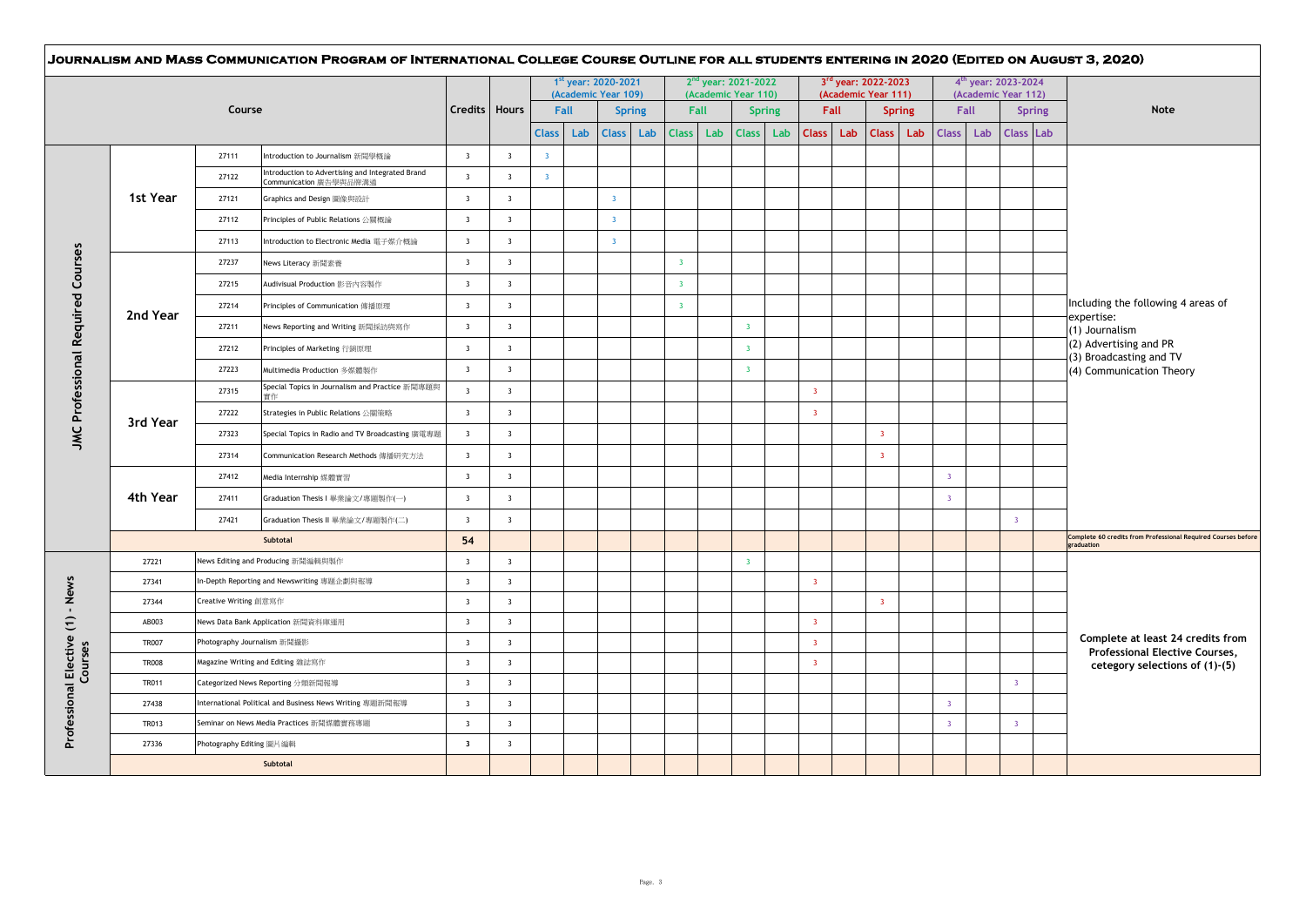|              |                                                                               |                                                          |                                                       |                                                    |                         |                         | 1st year: 2020-2021<br>(Academic Year 109) |                |                      |                         |     | 2 <sup>nd</sup> year: 2021-2022<br>(Academic Year 110) |                      |                         | 3rd year: 2022-2023<br>(Academic Year 111) |                               |                                  |                | 4 <sup>th</sup> year: 2023-2024<br>(Academic Year 112) |                  |               |                                                                             |  |
|--------------|-------------------------------------------------------------------------------|----------------------------------------------------------|-------------------------------------------------------|----------------------------------------------------|-------------------------|-------------------------|--------------------------------------------|----------------|----------------------|-------------------------|-----|--------------------------------------------------------|----------------------|-------------------------|--------------------------------------------|-------------------------------|----------------------------------|----------------|--------------------------------------------------------|------------------|---------------|-----------------------------------------------------------------------------|--|
|              |                                                                               | Course                                                   |                                                       |                                                    | Credits   Hours         | <b>Class</b>            | Fall<br>Lab                                | <b>Class</b>   | <b>Spring</b><br>Lab | Fall<br><b>Class</b>    | Lab | <b>Class</b>                                           | <b>Spring</b><br>Lab | Fall<br><b>Class</b>    | Lab                                        | <b>Spring</b><br><b>Class</b> | Lab                              | <b>Class</b>   | Fall<br>Lab                                            | <b>Class Lab</b> | <b>Spring</b> | Note                                                                        |  |
|              |                                                                               | 27111                                                    | Introduction to Journalism 新聞學概論                      | $\overline{\mathbf{3}}$                            | $\overline{\mathbf{3}}$ | $\overline{\mathbf{3}}$ |                                            |                |                      |                         |     |                                                        |                      |                         |                                            |                               |                                  |                |                                                        |                  |               |                                                                             |  |
|              |                                                                               | 27122                                                    | Introduction to Advertising and Integrated Brand      | $\overline{\mathbf{3}}$                            | $\overline{3}$          | $\overline{\mathbf{3}}$ |                                            |                |                      |                         |     |                                                        |                      |                         |                                            |                               |                                  |                |                                                        |                  |               |                                                                             |  |
| 1st Year     |                                                                               | 27121                                                    | Communication 廣告學與品牌溝通<br>Graphics and Design 圖像與設計   | $\overline{\mathbf{3}}$                            | $\overline{\mathbf{3}}$ |                         |                                            | $\overline{3}$ |                      |                         |     |                                                        |                      |                         |                                            |                               |                                  |                |                                                        |                  |               |                                                                             |  |
|              |                                                                               | 27112                                                    | Principles of Public Relations 公開概論                   | $\overline{\mathbf{3}}$                            | $\overline{\mathbf{3}}$ |                         |                                            | $\overline{3}$ |                      |                         |     |                                                        |                      |                         |                                            |                               |                                  |                |                                                        |                  |               |                                                                             |  |
|              |                                                                               | 27113                                                    | Introduction to Electronic Media 電子媒介概論               | $\overline{\mathbf{3}}$                            | $\overline{\mathbf{3}}$ |                         |                                            | $\overline{3}$ |                      |                         |     |                                                        |                      |                         |                                            |                               |                                  |                |                                                        |                  |               |                                                                             |  |
|              |                                                                               | 27237                                                    | News Literacy 新聞素養                                    | $\overline{\mathbf{3}}$                            | $\overline{\mathbf{3}}$ |                         |                                            |                |                      | $\overline{\mathbf{3}}$ |     |                                                        |                      |                         |                                            |                               |                                  |                |                                                        |                  |               |                                                                             |  |
|              |                                                                               | 27215                                                    | Audivisual Production 影音内容製作                          | $\overline{\mathbf{3}}$                            | $\overline{\mathbf{3}}$ |                         |                                            |                |                      | $\overline{3}$          |     |                                                        |                      |                         |                                            |                               |                                  |                |                                                        |                  |               |                                                                             |  |
|              |                                                                               | 27214                                                    | Principles of Communication 傳播原理                      | $\overline{\mathbf{3}}$                            | $\overline{\mathbf{3}}$ |                         |                                            |                |                      | $\overline{3}$          |     |                                                        |                      |                         |                                            |                               |                                  |                |                                                        |                  |               | Including the following 4 areas of                                          |  |
| 2nd Year     |                                                                               | 27211                                                    | News Reporting and Writing 新聞採訪與寫作                    | $\overline{\mathbf{3}}$                            | $\overline{\mathbf{3}}$ |                         |                                            |                |                      |                         |     | $\overline{\mathbf{3}}$                                |                      |                         |                                            |                               |                                  |                |                                                        |                  |               | expertise:<br>(1) Journalism                                                |  |
|              |                                                                               | 27212                                                    | Principles of Marketing 行銷原理                          | $\overline{\mathbf{3}}$                            | $\overline{\mathbf{3}}$ |                         |                                            |                |                      |                         |     | $\overline{\mathbf{3}}$                                |                      |                         |                                            |                               |                                  |                |                                                        |                  |               | (2) Advertising and PR                                                      |  |
|              |                                                                               | 27223                                                    | Multimedia Production 多媒體製作                           | $\overline{\mathbf{3}}$                            | $\overline{\mathbf{3}}$ |                         |                                            |                |                      |                         |     | $\overline{\mathbf{3}}$                                |                      |                         |                                            |                               |                                  |                |                                                        |                  |               | (3) Broadcasting and TV<br>(4) Communication Theory                         |  |
|              |                                                                               | 27315                                                    | Special Topics in Journalism and Practice 新聞專題與<br>審作 | $\overline{\mathbf{3}}$                            | $\overline{\mathbf{3}}$ |                         |                                            |                |                      |                         |     |                                                        |                      | $\overline{\mathbf{3}}$ |                                            |                               |                                  |                |                                                        |                  |               |                                                                             |  |
|              |                                                                               | 27222                                                    | Strategies in Public Relations 公開策略                   | $\overline{\mathbf{3}}$                            | $\overline{\mathbf{3}}$ |                         |                                            |                |                      |                         |     |                                                        |                      | $\overline{3}$          |                                            |                               |                                  |                |                                                        |                  |               |                                                                             |  |
| 3rd Year     |                                                                               | 27323                                                    | Special Topics in Radio and TV Broadcasting 廣電專題      | $\overline{\mathbf{3}}$                            | $\overline{\mathbf{3}}$ |                         |                                            |                |                      |                         |     |                                                        |                      |                         |                                            | $\overline{3}$                |                                  |                |                                                        |                  |               |                                                                             |  |
|              |                                                                               | 27314                                                    | Communication Research Methods 傳播研究方法                 | $\overline{\mathbf{3}}$                            | $\overline{\mathbf{3}}$ |                         |                                            |                |                      |                         |     |                                                        |                      |                         |                                            | $\overline{3}$                |                                  |                |                                                        |                  |               |                                                                             |  |
|              |                                                                               | 27412                                                    | Media Internship 媒體實習                                 | $\overline{\mathbf{3}}$                            | $\overline{\mathbf{3}}$ |                         |                                            |                |                      |                         |     |                                                        |                      |                         |                                            |                               |                                  | $\overline{3}$ |                                                        |                  |               |                                                                             |  |
| 4th Year     |                                                                               | 27411                                                    | Graduation Thesis I 畢業論文/專題製作(一)                      | $\overline{\mathbf{3}}$                            | $\overline{\mathbf{3}}$ |                         |                                            |                |                      |                         |     |                                                        |                      |                         |                                            |                               |                                  | $\overline{3}$ |                                                        |                  |               |                                                                             |  |
|              |                                                                               | 27421                                                    | Graduation Thesis II 畢業論文/專題製作(二)                     | $\overline{\mathbf{3}}$                            | $\overline{3}$          |                         |                                            |                |                      |                         |     |                                                        |                      |                         |                                            |                               |                                  |                |                                                        | $\overline{3}$   |               |                                                                             |  |
|              |                                                                               |                                                          | Subtotal                                              | 54                                                 |                         |                         |                                            |                |                      |                         |     |                                                        |                      |                         |                                            |                               |                                  |                |                                                        |                  |               | Complete 60 credits from Professional Required Courses before<br>graduation |  |
| 27221        |                                                                               |                                                          | News Editing and Producing 新聞編輯與製作                    | $\overline{\mathbf{3}}$                            | $\overline{\mathbf{3}}$ |                         |                                            |                |                      |                         |     | $\overline{\mathbf{3}}$                                |                      |                         |                                            |                               |                                  |                |                                                        |                  |               |                                                                             |  |
| 27341        |                                                                               |                                                          | In-Depth Reporting and Newswriting 專題企劃與報導            | $\overline{\mathbf{3}}$                            | $\overline{\mathbf{3}}$ |                         |                                            |                |                      |                         |     |                                                        |                      | $\overline{\mathbf{3}}$ |                                            |                               |                                  |                |                                                        |                  |               |                                                                             |  |
| 27344        |                                                                               | Creative Writing 創意寫作                                    |                                                       | $\overline{\mathbf{3}}$                            | $\overline{\mathbf{3}}$ |                         |                                            |                |                      |                         |     |                                                        |                      |                         |                                            | $\overline{\mathbf{3}}$       |                                  |                |                                                        |                  |               |                                                                             |  |
| AB003        |                                                                               |                                                          | News Data Bank Application 新聞資料庫運用                    | $\overline{\mathbf{3}}$                            | $\overline{\mathbf{3}}$ |                         |                                            |                |                      |                         |     |                                                        |                      | $\overline{\mathbf{3}}$ |                                            |                               |                                  |                |                                                        |                  |               |                                                                             |  |
| <b>TR007</b> |                                                                               | Photography Journalism 新聞攝影                              |                                                       | $\overline{\mathbf{3}}$                            | $\overline{\mathbf{3}}$ |                         |                                            |                |                      |                         |     |                                                        |                      | $\overline{\mathbf{3}}$ |                                            |                               |                                  |                |                                                        |                  |               | Complete at least 24 credits from<br>Professional Elective Courses,         |  |
| <b>TR008</b> |                                                                               |                                                          | Magazine Writing and Editing 雜誌寫作                     | $\overline{\mathbf{3}}$                            | $\overline{\mathbf{3}}$ |                         |                                            |                |                      |                         |     |                                                        |                      | $\overline{3}$          |                                            |                               |                                  |                |                                                        |                  |               | cetegory selections of (1)-(5)                                              |  |
| <b>TR011</b> |                                                                               |                                                          | Categorized News Reporting 分類新聞報導                     | $\overline{\mathbf{3}}$                            | $\overline{\mathbf{3}}$ |                         |                                            |                |                      |                         |     |                                                        |                      |                         |                                            |                               |                                  |                |                                                        | $\overline{3}$   |               |                                                                             |  |
| 27438        |                                                                               | International Political and Business News Writing 專題新聞報導 | $\overline{\mathbf{3}}$<br>$\overline{\mathbf{3}}$    | $\overline{\mathbf{3}}$<br>$\overline{\mathbf{3}}$ |                         |                         |                                            |                |                      |                         |     |                                                        |                      |                         |                                            |                               | $\overline{3}$<br>$\overline{3}$ |                | $\overline{3}$                                         |                  |               |                                                                             |  |
| 27336        | TR013<br>Seminar on News Media Practices 新聞媒體實務專題<br>Photography Editing 圖片編輯 | $\overline{\mathbf{3}}$                                  | $\overline{\mathbf{3}}$                               |                                                    |                         |                         |                                            |                |                      |                         |     |                                                        |                      |                         |                                            |                               |                                  |                |                                                        |                  |               |                                                                             |  |
|              |                                                                               |                                                          | Subtotal                                              |                                                    |                         |                         |                                            |                |                      |                         |     |                                                        |                      |                         |                                            |                               |                                  |                |                                                        |                  |               |                                                                             |  |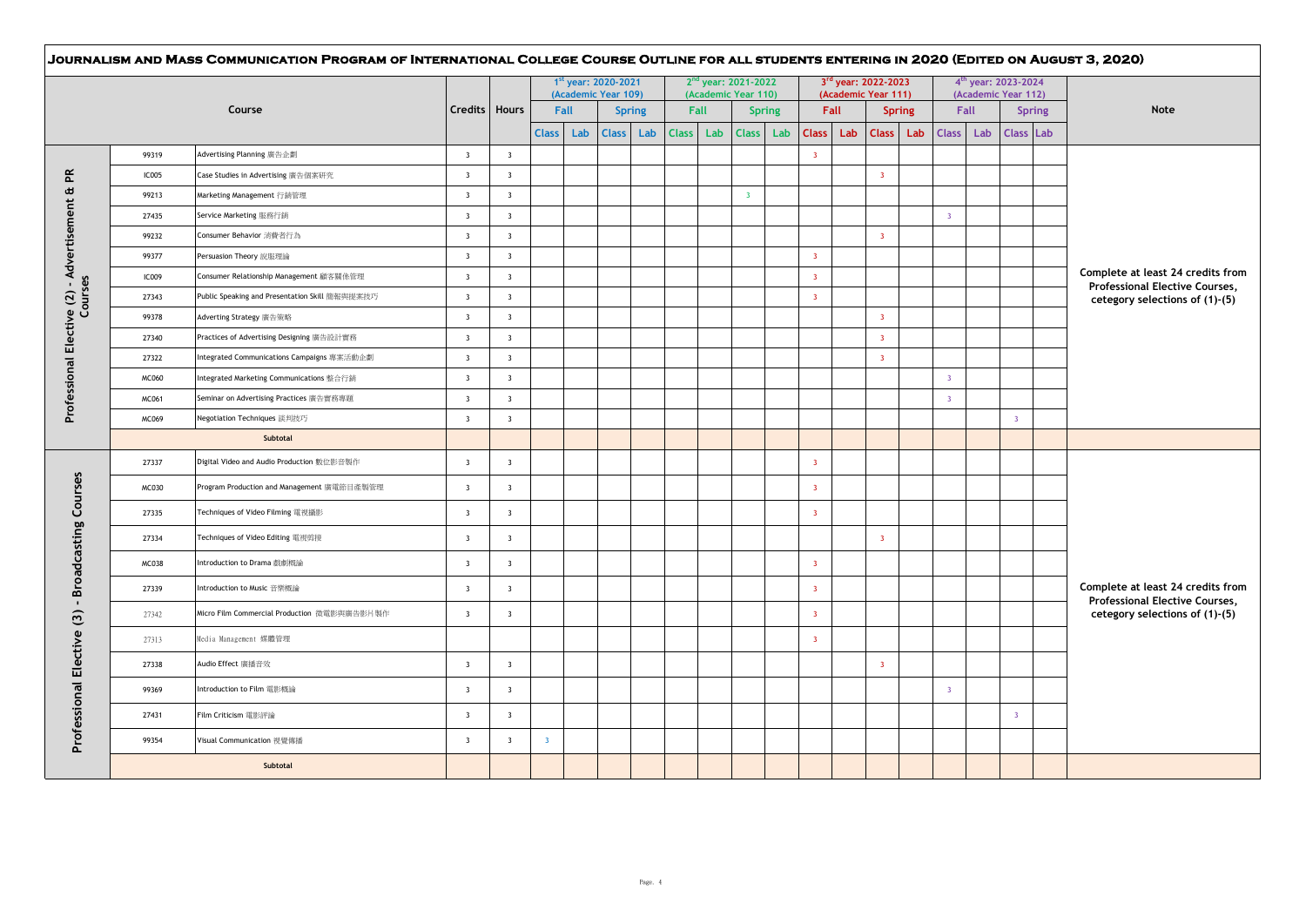|                                                |              |                                                |                         |                         |                | 1st year: 2020-2021<br>(Academic Year 109) |              |               |              |      | 2 <sup>nd</sup> year: 2021-2022<br>(Academic Year 110) |                         | 3rd year: 2022-2023<br>(Academic Year 111) |                         |               |                         |      | 4 <sup>th</sup> year: 2023-2024<br>(Academic Year 112) |                                                                     |  |  |
|------------------------------------------------|--------------|------------------------------------------------|-------------------------|-------------------------|----------------|--------------------------------------------|--------------|---------------|--------------|------|--------------------------------------------------------|-------------------------|--------------------------------------------|-------------------------|---------------|-------------------------|------|--------------------------------------------------------|---------------------------------------------------------------------|--|--|
|                                                |              | Course                                         | Credits   Hours         |                         |                | Fall                                       |              | <b>Spring</b> |              | Fall | <b>Spring</b>                                          |                         | Fall                                       |                         | <b>Spring</b> |                         | Fall | <b>Spring</b>                                          | <b>Note</b>                                                         |  |  |
|                                                |              |                                                |                         |                         | <b>Class</b>   | Lab                                        | <b>Class</b> | Lab           | <b>Class</b> | Lab  | <b>Class</b><br>Lab                                    | <b>Class</b>            | Lab                                        | <b>Class</b>            | Lab           | <b>Class</b>            | Lab  | <b>Class Lab</b>                                       |                                                                     |  |  |
|                                                | 99319        | Advertising Planning 廣告企劃                      | $\overline{\mathbf{3}}$ | $\overline{\mathbf{3}}$ |                |                                            |              |               |              |      |                                                        | $\overline{\mathbf{3}}$ |                                            |                         |               |                         |      |                                                        |                                                                     |  |  |
|                                                | <b>IC005</b> | Case Studies in Advertising 廣告個案研究             | $\overline{\mathbf{3}}$ | $\overline{\mathbf{3}}$ |                |                                            |              |               |              |      |                                                        |                         |                                            | $\overline{3}$          |               |                         |      |                                                        |                                                                     |  |  |
|                                                | 99213        | Marketing Management 行銷管理                      | $\overline{\mathbf{3}}$ | $\overline{\mathbf{3}}$ |                |                                            |              |               |              |      | $\overline{\mathbf{3}}$                                |                         |                                            |                         |               |                         |      |                                                        |                                                                     |  |  |
|                                                | 27435        | Service Marketing 服務行銷                         | $\overline{\mathbf{3}}$ | $\overline{\mathbf{3}}$ |                |                                            |              |               |              |      |                                                        |                         |                                            |                         |               | $\overline{\mathbf{3}}$ |      |                                                        |                                                                     |  |  |
|                                                | 99232        | Consumer Behavior 消費者行為                        | $\overline{\mathbf{3}}$ | $\overline{\mathbf{3}}$ |                |                                            |              |               |              |      |                                                        |                         |                                            | $\overline{3}$          |               |                         |      |                                                        |                                                                     |  |  |
|                                                | 99377        | Persuasion Theory 說服理論                         | $\overline{\mathbf{3}}$ | $\overline{\mathbf{3}}$ |                |                                            |              |               |              |      |                                                        | $\overline{\mathbf{3}}$ |                                            |                         |               |                         |      |                                                        |                                                                     |  |  |
|                                                | IC009        | Consumer Relationship Management 顧客關係管理        | $\overline{\mathbf{3}}$ | $\overline{\mathbf{3}}$ |                |                                            |              |               |              |      |                                                        | $\overline{\mathbf{3}}$ |                                            |                         |               |                         |      |                                                        | Complete at least 24 credits from<br>Professional Elective Courses, |  |  |
| Courses                                        | 27343        | Public Speaking and Presentation Skill 簡報與提案技巧 | $\overline{\mathbf{3}}$ | $\overline{\mathbf{3}}$ |                |                                            |              |               |              |      |                                                        | $\overline{3}$          |                                            |                         |               |                         |      |                                                        | cetegory selections of (1)-(5)                                      |  |  |
|                                                | 99378        | Adverting Strategy 廣告策略                        | $\overline{\mathbf{3}}$ | $\overline{\mathbf{3}}$ |                |                                            |              |               |              |      |                                                        |                         |                                            | $\overline{3}$          |               |                         |      |                                                        |                                                                     |  |  |
|                                                | 27340        | Practices of Advertising Designing 廣告設計實務      | $\overline{\mathbf{3}}$ | $\overline{\mathbf{3}}$ |                |                                            |              |               |              |      |                                                        |                         |                                            | $\overline{3}$          |               |                         |      |                                                        |                                                                     |  |  |
| Professional Elective (2) - Advertisement & PR | 27322        | Integrated Communications Campaigns 專案活動企劃     | $\overline{\mathbf{3}}$ | $\overline{\mathbf{3}}$ |                |                                            |              |               |              |      |                                                        |                         |                                            | $\overline{\mathbf{3}}$ |               |                         |      |                                                        |                                                                     |  |  |
|                                                | MC060        | ntegrated Marketing Communications 整合行銷        | $\overline{\mathbf{3}}$ | $\overline{\mathbf{3}}$ |                |                                            |              |               |              |      |                                                        |                         |                                            |                         |               | $\overline{3}$          |      |                                                        |                                                                     |  |  |
|                                                | MC061        | Seminar on Advertising Practices 廣告實務專題        | $\overline{\mathbf{3}}$ | $\overline{\mathbf{3}}$ |                |                                            |              |               |              |      |                                                        |                         |                                            |                         |               | $\overline{3}$          |      |                                                        |                                                                     |  |  |
|                                                | MC069        | Negotiation Techniques 談判技巧                    | $\overline{\mathbf{3}}$ | $\overline{\mathbf{3}}$ |                |                                            |              |               |              |      |                                                        |                         |                                            |                         |               |                         |      | $\overline{\mathbf{3}}$                                |                                                                     |  |  |
|                                                |              | Subtotal                                       |                         |                         |                |                                            |              |               |              |      |                                                        |                         |                                            |                         |               |                         |      |                                                        |                                                                     |  |  |
|                                                | 27337        | Digital Video and Audio Production 數位影音製作      | $\overline{\mathbf{3}}$ | $\overline{\mathbf{3}}$ |                |                                            |              |               |              |      |                                                        | $\overline{\mathbf{3}}$ |                                            |                         |               |                         |      |                                                        |                                                                     |  |  |
| <b>Broadcasting Courses</b>                    | MC030        | Program Production and Management 廣電節目產製管理     | $\overline{\mathbf{3}}$ | $\overline{\mathbf{3}}$ |                |                                            |              |               |              |      |                                                        | $\overline{\mathbf{3}}$ |                                            |                         |               |                         |      |                                                        |                                                                     |  |  |
|                                                | 27335        | Techniques of Video Filming 電視攝影               | $\overline{\mathbf{3}}$ | $\overline{\mathbf{3}}$ |                |                                            |              |               |              |      |                                                        | $\overline{\mathbf{3}}$ |                                            |                         |               |                         |      |                                                        |                                                                     |  |  |
|                                                | 27334        | Techniques of Video Editing 電視剪接               | $\overline{\mathbf{3}}$ | $\overline{\mathbf{3}}$ |                |                                            |              |               |              |      |                                                        |                         |                                            | $\overline{3}$          |               |                         |      |                                                        |                                                                     |  |  |
|                                                | <b>MC038</b> | Introduction to Drama 戲劇概論                     | $\overline{\mathbf{3}}$ | $\overline{\mathbf{3}}$ |                |                                            |              |               |              |      |                                                        | $\overline{\mathbf{3}}$ |                                            |                         |               |                         |      |                                                        |                                                                     |  |  |
|                                                | 27339        | Introduction to Music 音樂概論                     | $\overline{\mathbf{3}}$ | $\overline{\mathbf{3}}$ |                |                                            |              |               |              |      |                                                        | $\overline{\mathbf{3}}$ |                                            |                         |               |                         |      |                                                        | Complete at least 24 credits from<br>Professional Elective Courses, |  |  |
| $\mathbf{r}$                                   | 27342        | Micro Film Commercial Production 微電影與廣告影片製作    | $\overline{\mathbf{3}}$ | $\overline{\mathbf{3}}$ |                |                                            |              |               |              |      |                                                        | $\overline{\mathbf{3}}$ |                                            |                         |               |                         |      |                                                        | cetegory selections of (1)-(5)                                      |  |  |
|                                                | 27313        | Media Management 媒體管理                          |                         |                         |                |                                            |              |               |              |      |                                                        | $\overline{\mathbf{3}}$ |                                            |                         |               |                         |      |                                                        |                                                                     |  |  |
| Professional Elective (3)                      | 27338        | Audio Effect 廣播音效                              | $\overline{\mathbf{3}}$ | $\overline{\mathbf{3}}$ |                |                                            |              |               |              |      |                                                        |                         |                                            | $\overline{3}$          |               |                         |      |                                                        |                                                                     |  |  |
|                                                | 99369        | Introduction to Film 電影概論                      | $\overline{\mathbf{3}}$ | $\overline{\mathbf{3}}$ |                |                                            |              |               |              |      |                                                        |                         |                                            |                         |               | $\overline{\mathbf{3}}$ |      |                                                        |                                                                     |  |  |
|                                                | 27431        | Film Criticism 電影評論                            | $\overline{\mathbf{3}}$ | $\overline{\mathbf{3}}$ |                |                                            |              |               |              |      |                                                        |                         |                                            |                         |               |                         |      | $\overline{3}$                                         |                                                                     |  |  |
|                                                | 99354        | Visual Communication 視覺傳播                      | $\overline{\mathbf{3}}$ | $\overline{\mathbf{3}}$ | $\overline{3}$ |                                            |              |               |              |      |                                                        |                         |                                            |                         |               |                         |      |                                                        |                                                                     |  |  |
|                                                |              | Subtotal                                       |                         |                         |                |                                            |              |               |              |      |                                                        |                         |                                            |                         |               |                         |      |                                                        |                                                                     |  |  |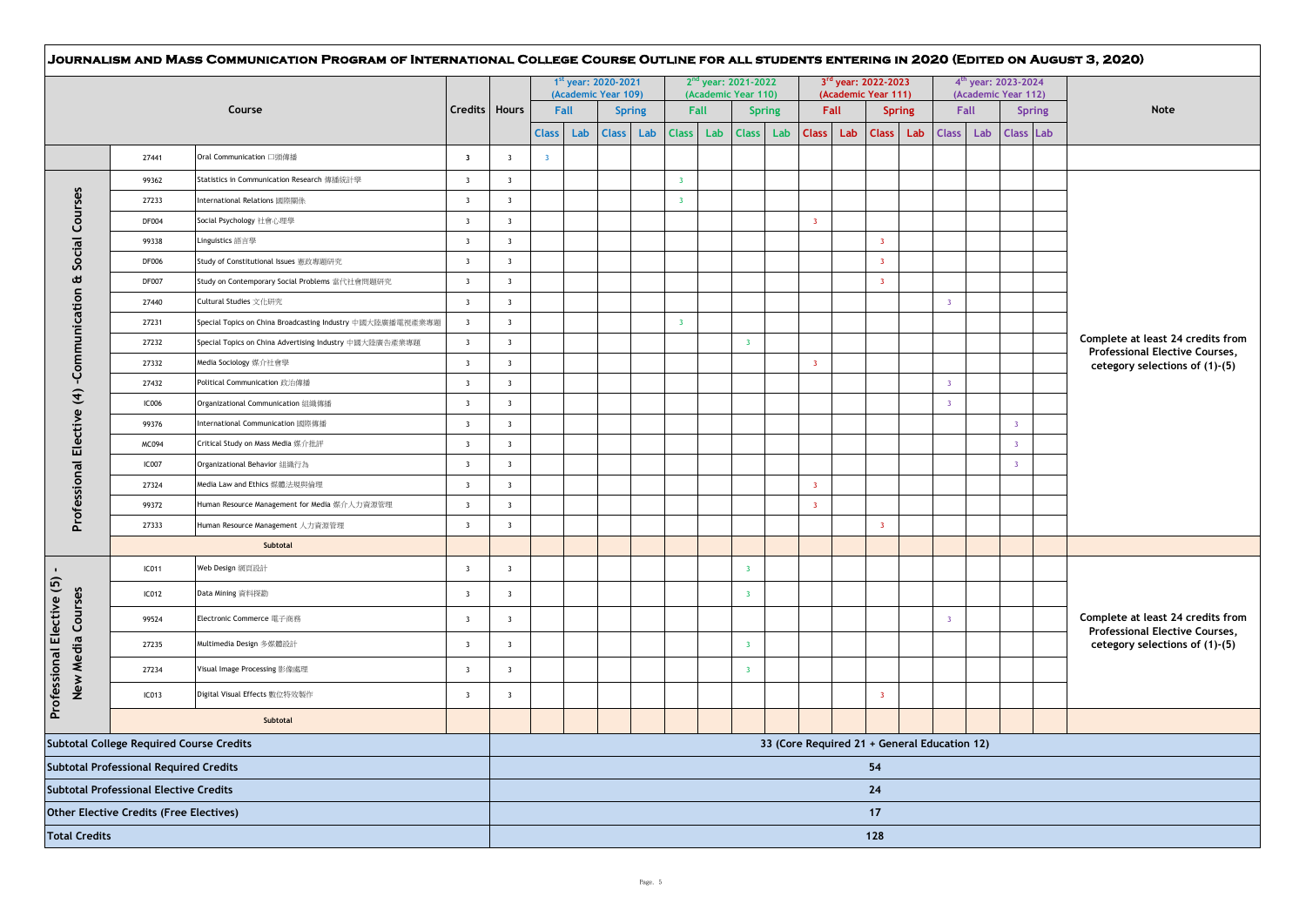|                                   |                                                 |                                                            |                         |                                                    | 1st year: 2020-2021<br>(Academic Year 109) |     |               | $2nd$ year: 2021-2022<br>(Academic Year 110) |                         |                         |               | 3rd year: 2022-2023<br>(Academic Year 111) |      |                         |               | 4 <sup>th</sup> year: 2023-2024<br>(Academic Year 112) |      |                         |                  |                                                                     |
|-----------------------------------|-------------------------------------------------|------------------------------------------------------------|-------------------------|----------------------------------------------------|--------------------------------------------|-----|---------------|----------------------------------------------|-------------------------|-------------------------|---------------|--------------------------------------------|------|-------------------------|---------------|--------------------------------------------------------|------|-------------------------|------------------|---------------------------------------------------------------------|
|                                   |                                                 | Course                                                     | Credits   Hours         |                                                    | Fall                                       |     | <b>Spring</b> |                                              | Fall                    |                         | <b>Spring</b> |                                            | Fall |                         | <b>Spring</b> |                                                        | Fall |                         | <b>Spring</b>    | Note                                                                |
|                                   |                                                 |                                                            |                         |                                                    | <b>Class</b>                               | Lab | <b>Class</b>  | Lab                                          | Lab<br><b>Class</b>     | <b>Class</b>            | Lab           | Class Lab                                  |      | <b>Class</b>            | Lab           | <b>Class</b>                                           | Lab  |                         | <b>Class Lab</b> |                                                                     |
|                                   | 27441                                           | Oral Communication 口頭傳播                                    | $\overline{\mathbf{3}}$ | $\overline{\mathbf{3}}$                            | $\overline{\mathbf{3}}$                    |     |               |                                              |                         |                         |               |                                            |      |                         |               |                                                        |      |                         |                  |                                                                     |
|                                   | 99362                                           | Statistics in Communication Research 傳播統計學                 | $\overline{\mathbf{3}}$ | $\overline{\mathbf{3}}$                            |                                            |     |               |                                              | $\overline{3}$          |                         |               |                                            |      |                         |               |                                                        |      |                         |                  |                                                                     |
| Courses                           | 27233                                           | nternational Relations 國際關係                                | $\overline{\mathbf{3}}$ | $\overline{\mathbf{3}}$                            |                                            |     |               |                                              | $\overline{\mathbf{3}}$ |                         |               |                                            |      |                         |               |                                                        |      |                         |                  |                                                                     |
|                                   | <b>DF004</b>                                    | Social Psychology 社會心理學                                    | $\overline{\mathbf{3}}$ | $\overline{\mathbf{3}}$                            |                                            |     |               |                                              |                         |                         |               | $\overline{\mathbf{3}}$                    |      |                         |               |                                                        |      |                         |                  |                                                                     |
|                                   | 99338                                           | .inguistics 語言學                                            | $\overline{\mathbf{3}}$ | $\overline{\mathbf{3}}$                            |                                            |     |               |                                              |                         |                         |               |                                            |      | $\overline{\mathbf{3}}$ |               |                                                        |      |                         |                  |                                                                     |
| Social                            | <b>DF006</b>                                    | Study of Constitutional Issues 憲政專題研究                      | $\overline{\mathbf{3}}$ | $\overline{\mathbf{3}}$                            |                                            |     |               |                                              |                         |                         |               |                                            |      | $\overline{\mathbf{3}}$ |               |                                                        |      |                         |                  |                                                                     |
| $\pmb{\upomega}$                  | <b>DF007</b>                                    | Study on Contemporary Social Problems 當代社會問題研究             | $\overline{\mathbf{3}}$ | $\overline{\mathbf{3}}$                            |                                            |     |               |                                              |                         |                         |               |                                            |      | $\overline{\mathbf{3}}$ |               |                                                        |      |                         |                  |                                                                     |
| -Communication                    | 27440                                           | Cultural Studies 文化研究                                      | $\overline{\mathbf{3}}$ | $\overline{\mathbf{3}}$                            |                                            |     |               |                                              |                         |                         |               |                                            |      |                         |               | $\overline{3}$                                         |      |                         |                  |                                                                     |
|                                   | 27231                                           | Special Topics on China Broadcasting Industry 中國大陸廣播電視產業專題 | $\overline{\mathbf{3}}$ | $\overline{\mathbf{3}}$                            |                                            |     |               |                                              | $\overline{\mathbf{3}}$ |                         |               |                                            |      |                         |               |                                                        |      |                         |                  |                                                                     |
|                                   | 27232                                           | Special Topics on China Advertising Industry 中國大陸廣告產業專題    | $\overline{\mathbf{3}}$ | $\overline{\mathbf{3}}$                            |                                            |     |               |                                              |                         | $\overline{\mathbf{3}}$ |               |                                            |      |                         |               |                                                        |      |                         |                  | Complete at least 24 credits from<br>Professional Elective Courses, |
|                                   | 27332                                           | Media Sociology 媒介社會學                                      | $\overline{\mathbf{3}}$ | $\overline{\mathbf{3}}$                            |                                            |     |               |                                              |                         |                         |               | $\overline{3}$                             |      |                         |               |                                                        |      |                         |                  | cetegory selections of (1)-(5)                                      |
|                                   | 27432                                           | Political Communication 政治傳播                               | $\overline{\mathbf{3}}$ | $\overline{\mathbf{3}}$                            |                                            |     |               |                                              |                         |                         |               |                                            |      |                         |               | $\overline{\mathbf{3}}$                                |      |                         |                  |                                                                     |
| $\mathbf{f}$                      | <b>IC006</b>                                    | Organizational Communication 組織傳播                          | $\overline{\mathbf{3}}$ | $\overline{\mathbf{3}}$                            |                                            |     |               |                                              |                         |                         |               |                                            |      |                         |               | $\overline{\mathbf{3}}$                                |      |                         |                  |                                                                     |
|                                   | 99376                                           | nternational Communication 國際傳播                            | $\overline{\mathbf{3}}$ | $\overline{\mathbf{3}}$                            |                                            |     |               |                                              |                         |                         |               |                                            |      |                         |               |                                                        |      | $\overline{3}$          |                  |                                                                     |
| Professional Elective             | MC094                                           | Critical Study on Mass Media 媒介批評                          | $\overline{\mathbf{3}}$ | $\overline{\mathbf{3}}$                            |                                            |     |               |                                              |                         |                         |               |                                            |      |                         |               |                                                        |      | $\overline{\mathbf{3}}$ |                  |                                                                     |
|                                   | <b>IC007</b>                                    | Organizational Behavior 組織行為                               | $\overline{\mathbf{3}}$ | $\overline{\mathbf{3}}$                            |                                            |     |               |                                              |                         |                         |               |                                            |      |                         |               |                                                        |      | $\overline{\mathbf{3}}$ |                  |                                                                     |
|                                   | 27324                                           | Media Law and Ethics 媒體法規與倫理                               | $\overline{\mathbf{3}}$ | $\overline{\mathbf{3}}$                            |                                            |     |               |                                              |                         |                         |               | $\overline{\mathbf{3}}$                    |      |                         |               |                                                        |      |                         |                  |                                                                     |
|                                   | 99372                                           | Human Resource Management for Media 媒介人力資源管理               | $\overline{\mathbf{3}}$ | $\overline{\mathbf{3}}$                            |                                            |     |               |                                              |                         |                         |               | $\overline{\mathbf{3}}$                    |      |                         |               |                                                        |      |                         |                  |                                                                     |
|                                   | 27333                                           | Human Resource Management 人力資源管理                           | $\overline{\mathbf{3}}$ | $\overline{\mathbf{3}}$                            |                                            |     |               |                                              |                         |                         |               |                                            |      | $\overline{\mathbf{3}}$ |               |                                                        |      |                         |                  |                                                                     |
|                                   |                                                 | Subtotal                                                   |                         |                                                    |                                            |     |               |                                              |                         |                         |               |                                            |      |                         |               |                                                        |      |                         |                  |                                                                     |
|                                   | IC011                                           | Web Design 網頁設計                                            | $\overline{\mathbf{3}}$ | $\overline{\mathbf{3}}$                            |                                            |     |               |                                              |                         | $\overline{\mathbf{3}}$ |               |                                            |      |                         |               |                                                        |      |                         |                  |                                                                     |
|                                   | IC012                                           | Data Mining 資料探勘                                           | $\overline{\mathbf{3}}$ | $\overline{\mathbf{3}}$                            |                                            |     |               |                                              |                         | $\overline{3}$          |               |                                            |      |                         |               |                                                        |      |                         |                  |                                                                     |
| Elective (5)                      | 99524                                           | Electronic Commerce 電子商務                                   | $\overline{\mathbf{3}}$ | $\overline{\mathbf{3}}$                            |                                            |     |               |                                              |                         |                         |               |                                            |      |                         |               | $\overline{3}$                                         |      |                         |                  | Complete at least 24 credits from                                   |
|                                   | 27235                                           | Multimedia Design 多媒體設計                                    | $\overline{\mathbf{3}}$ | $\overline{\mathbf{3}}$                            |                                            |     |               |                                              |                         | $\overline{\mathbf{3}}$ |               |                                            |      |                         |               |                                                        |      |                         |                  | Professional Elective Courses,<br>cetegory selections of (1)-(5)    |
|                                   | 27234                                           | /isual Image Processing 影像處理                               | $\overline{\mathbf{3}}$ | $\overline{\mathbf{3}}$                            |                                            |     |               |                                              |                         | $\overline{3}$          |               |                                            |      |                         |               |                                                        |      |                         |                  |                                                                     |
| New Media Courses<br>Professional | IC013                                           | Digital Visual Effects 數位特效製作                              | $\overline{\mathbf{3}}$ | $\overline{\mathbf{3}}$                            |                                            |     |               |                                              |                         |                         |               |                                            |      | $\overline{\mathbf{3}}$ |               |                                                        |      |                         |                  |                                                                     |
|                                   |                                                 | Subtotal                                                   |                         |                                                    |                                            |     |               |                                              |                         |                         |               |                                            |      |                         |               |                                                        |      |                         |                  |                                                                     |
|                                   | <b>Subtotal College Required Course Credits</b> |                                                            |                         |                                                    |                                            |     |               |                                              |                         |                         |               |                                            |      |                         |               |                                                        |      |                         |                  |                                                                     |
|                                   | Subtotal Professional Required Credits          |                                                            |                         | 33 (Core Required 21 + General Education 12)<br>54 |                                            |     |               |                                              |                         |                         |               |                                            |      |                         |               |                                                        |      |                         |                  |                                                                     |
|                                   | <b>Subtotal Professional Elective Credits</b>   |                                                            |                         | 24                                                 |                                            |     |               |                                              |                         |                         |               |                                            |      |                         |               |                                                        |      |                         |                  |                                                                     |
|                                   | Other Elective Credits (Free Electives)         |                                                            |                         |                                                    |                                            |     |               |                                              |                         |                         |               |                                            |      | 17                      |               |                                                        |      |                         |                  |                                                                     |
|                                   | <b>Total Credits</b>                            |                                                            |                         |                                                    |                                            |     |               |                                              |                         |                         |               |                                            |      | 128                     |               |                                                        |      |                         |                  |                                                                     |